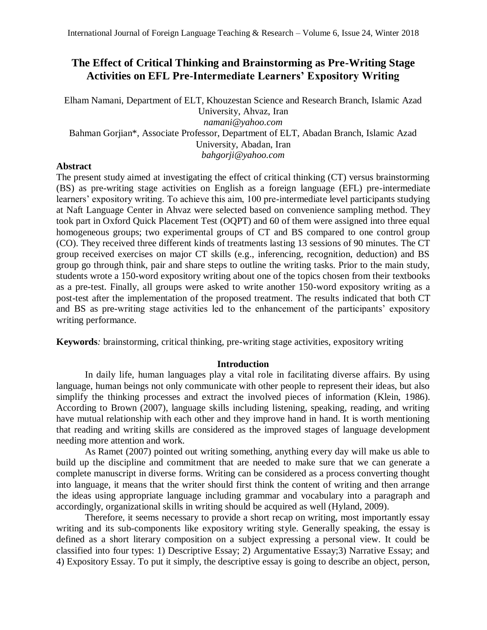# **The Effect of Critical Thinking and Brainstorming as Pre-Writing Stage Activities on EFL Pre-Intermediate Learners' Expository Writing**

Elham Namani, Department of ELT, Khouzestan Science and Research Branch, Islamic Azad University, Ahvaz, Iran *namani@yahoo.com* Bahman Gorjian\*, Associate Professor, Department of ELT, Abadan Branch, Islamic Azad University, Abadan, Iran *bahgorji@yahoo.com*

# **Abstract**

The present study aimed at investigating the effect of critical thinking (CT) versus brainstorming (BS) as pre-writing stage activities on English as a foreign language (EFL) pre-intermediate learners' expository writing. To achieve this aim, 100 pre-intermediate level participants studying at Naft Language Center in Ahvaz were selected based on convenience sampling method. They took part in Oxford Quick Placement Test (OQPT) and 60 of them were assigned into three equal homogeneous groups; two experimental groups of CT and BS compared to one control group (CO). They received three different kinds of treatments lasting 13 sessions of 90 minutes. The CT group received exercises on major CT skills (e.g., inferencing, recognition, deduction) and BS group go through think, pair and share steps to outline the writing tasks. Prior to the main study, students wrote a 150-word expository writing about one of the topics chosen from their textbooks as a pre-test. Finally, all groups were asked to write another 150-word expository writing as a post-test after the implementation of the proposed treatment. The results indicated that both CT and BS as pre-writing stage activities led to the enhancement of the participants' expository writing performance.

**Keywords***:* brainstorming, critical thinking, pre-writing stage activities, expository writing

# **Introduction**

In daily life, human languages play a vital role in facilitating diverse affairs. By using language, human beings not only communicate with other people to represent their ideas, but also simplify the thinking processes and extract the involved pieces of information (Klein, 1986). According to Brown (2007), language skills including listening, speaking, reading, and writing have mutual relationship with each other and they improve hand in hand. It is worth mentioning that reading and writing skills are considered as the improved stages of language development needing more attention and work.

As Ramet (2007) pointed out writing something, anything every day will make us able to build up the discipline and commitment that are needed to make sure that we can generate a complete manuscript in diverse forms. Writing can be considered as a process converting thought into language, it means that the writer should first think the content of writing and then arrange the ideas using appropriate language including grammar and vocabulary into a paragraph and accordingly, organizational skills in writing should be acquired as well (Hyland, 2009).

Therefore, it seems necessary to provide a short recap on writing, most importantly essay writing and its sub-components like expository writing style. Generally speaking, the essay is defined as a short literary composition on a subject expressing a personal view. It could be classified into four types: 1) Descriptive Essay; 2) Argumentative Essay;3) Narrative Essay; and 4) Expository Essay. To put it simply, the descriptive essay is going to describe an object, person,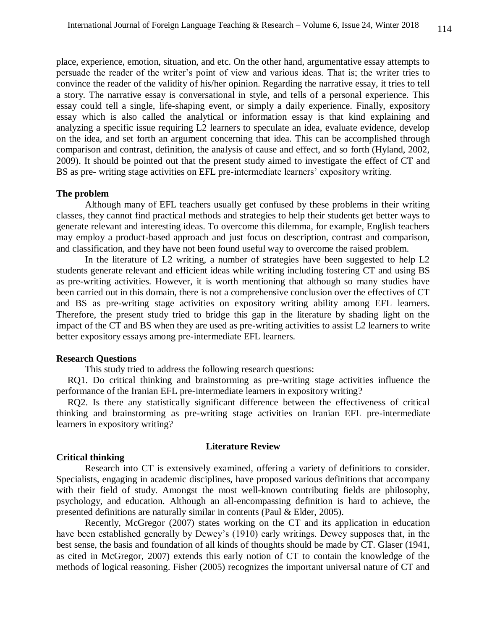place, experience, emotion, situation, and etc. On the other hand, argumentative essay attempts to persuade the reader of the writer's point of view and various ideas. That is; the writer tries to convince the reader of the validity of his/her opinion. Regarding the narrative essay, it tries to tell a story. The narrative essay is conversational in style, and tells of a personal experience. This essay could tell a single, life-shaping event, or simply a daily experience. Finally, expository essay which is also called the analytical or information essay is that kind explaining and analyzing a specific issue requiring L2 learners to speculate an idea, evaluate evidence, develop on the idea, and set forth an argument concerning that idea. This can be accomplished through comparison and contrast, definition, the analysis of cause and effect, and so forth (Hyland, 2002, 2009). It should be pointed out that the present study aimed to investigate the effect of CT and BS as pre- writing stage activities on EFL pre-intermediate learners' expository writing.

## **The problem**

Although many of EFL teachers usually get confused by these problems in their writing classes, they cannot find practical methods and strategies to help their students get better ways to generate relevant and interesting ideas. To overcome this dilemma, for example, English teachers may employ a product-based approach and just focus on description, contrast and comparison, and classification, and they have not been found useful way to overcome the raised problem.

In the literature of L2 writing, a number of strategies have been suggested to help L2 students generate relevant and efficient ideas while writing including fostering CT and using BS as pre-writing activities. However, it is worth mentioning that although so many studies have been carried out in this domain, there is not a comprehensive conclusion over the effectives of CT and BS as pre-writing stage activities on expository writing ability among EFL learners. Therefore, the present study tried to bridge this gap in the literature by shading light on the impact of the CT and BS when they are used as pre-writing activities to assist L2 learners to write better expository essays among pre-intermediate EFL learners.

## **Research Questions**

This study tried to address the following research questions:

RQ1. Do critical thinking and brainstorming as pre-writing stage activities influence the performance of the Iranian EFL pre-intermediate learners in expository writing?

RQ2. Is there any statistically significant difference between the effectiveness of critical thinking and brainstorming as pre-writing stage activities on Iranian EFL pre-intermediate learners in expository writing?

## **Literature Review**

## **Critical thinking**

Research into CT is extensively examined, offering a variety of definitions to consider. Specialists, engaging in academic disciplines, have proposed various definitions that accompany with their field of study. Amongst the most well-known contributing fields are philosophy, psychology, and education. Although an all-encompassing definition is hard to achieve, the presented definitions are naturally similar in contents (Paul & Elder, 2005).

Recently, McGregor (2007) states working on the CT and its application in education have been established generally by Dewey's (1910) early writings. Dewey supposes that, in the best sense, the basis and foundation of all kinds of thoughts should be made by CT. Glaser (1941, as cited in McGregor, 2007) extends this early notion of CT to contain the knowledge of the methods of logical reasoning. Fisher (2005) recognizes the important universal nature of CT and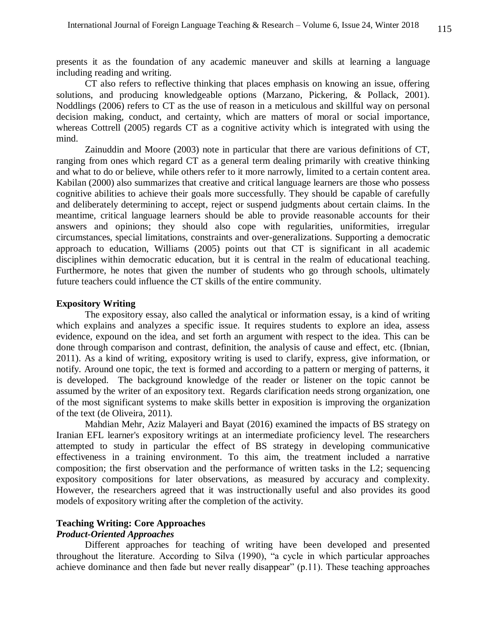presents it as the foundation of any academic maneuver and skills at learning a language including reading and writing.

CT also refers to reflective thinking that places emphasis on knowing an issue, offering solutions, and producing knowledgeable options (Marzano, Pickering, & Pollack, 2001). Noddlings (2006) refers to CT as the use of reason in a meticulous and skillful way on personal decision making, conduct, and certainty, which are matters of moral or social importance, whereas Cottrell (2005) regards CT as a cognitive activity which is integrated with using the mind.

Zainuddin and Moore (2003) note in particular that there are various definitions of CT, ranging from ones which regard CT as a general term dealing primarily with creative thinking and what to do or believe, while others refer to it more narrowly, limited to a certain content area. Kabilan (2000) also summarizes that creative and critical language learners are those who possess cognitive abilities to achieve their goals more successfully. They should be capable of carefully and deliberately determining to accept, reject or suspend judgments about certain claims. In the meantime, critical language learners should be able to provide reasonable accounts for their answers and opinions; they should also cope with regularities, uniformities, irregular circumstances, special limitations, constraints and over-generalizations. Supporting a democratic approach to education, Williams (2005) points out that CT is significant in all academic disciplines within democratic education, but it is central in the realm of educational teaching. Furthermore, he notes that given the number of students who go through schools, ultimately future teachers could influence the CT skills of the entire community.

## **Expository Writing**

The expository essay, also called the analytical or information essay, is a kind of writing which explains and analyzes a specific issue. It requires students to explore an idea, assess evidence, expound on the idea, and set forth an argument with respect to the idea. This can be done through comparison and contrast, definition, the analysis of cause and effect, etc. (Ibnian, 2011). As a kind of writing, expository writing is used to clarify, express, give information, or notify. Around one topic, the text is formed and according to a pattern or merging of patterns, it is developed. The background knowledge of the reader or listener on the topic cannot be assumed by the writer of an expository text. Regards clarification needs strong organization, one of the most significant systems to make skills better in exposition is improving the organization of the text (de Oliveira, 2011).

Mahdian Mehr, Aziz Malayeri and Bayat (2016) examined the impacts of BS strategy on Iranian EFL learner's expository writings at an intermediate proficiency level. The researchers attempted to study in particular the effect of BS strategy in developing communicative effectiveness in a training environment. To this aim, the treatment included a narrative composition; the first observation and the performance of written tasks in the L2; sequencing expository compositions for later observations, as measured by accuracy and complexity. However, the researchers agreed that it was instructionally useful and also provides its good models of expository writing after the completion of the activity.

# **Teaching Writing: Core Approaches**

# *Product-Oriented Approaches*

Different approaches for teaching of writing have been developed and presented throughout the literature. According to Silva (1990), "a cycle in which particular approaches achieve dominance and then fade but never really disappear" (p.11). These teaching approaches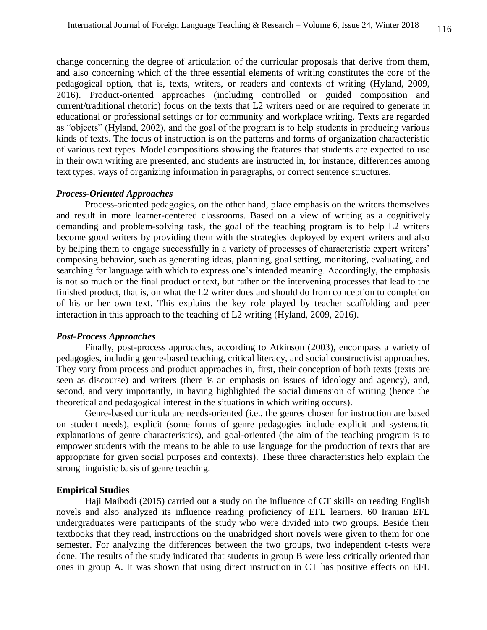change concerning the degree of articulation of the curricular proposals that derive from them, and also concerning which of the three essential elements of writing constitutes the core of the pedagogical option, that is, texts, writers, or readers and contexts of writing (Hyland, 2009, 2016). Product-oriented approaches (including controlled or guided composition and current/traditional rhetoric) focus on the texts that L2 writers need or are required to generate in educational or professional settings or for community and workplace writing. Texts are regarded as "objects" (Hyland, 2002), and the goal of the program is to help students in producing various kinds of texts. The focus of instruction is on the patterns and forms of organization characteristic of various text types. Model compositions showing the features that students are expected to use in their own writing are presented, and students are instructed in, for instance, differences among text types, ways of organizing information in paragraphs, or correct sentence structures.

## *Process-Oriented Approaches*

Process-oriented pedagogies, on the other hand, place emphasis on the writers themselves and result in more learner-centered classrooms. Based on a view of writing as a cognitively demanding and problem-solving task, the goal of the teaching program is to help L2 writers become good writers by providing them with the strategies deployed by expert writers and also by helping them to engage successfully in a variety of processes of characteristic expert writers' composing behavior, such as generating ideas, planning, goal setting, monitoring, evaluating, and searching for language with which to express one's intended meaning. Accordingly, the emphasis is not so much on the final product or text, but rather on the intervening processes that lead to the finished product, that is, on what the L2 writer does and should do from conception to completion of his or her own text. This explains the key role played by teacher scaffolding and peer interaction in this approach to the teaching of L2 writing (Hyland, 2009, 2016).

### *Post-Process Approaches*

Finally, post-process approaches, according to Atkinson (2003), encompass a variety of pedagogies, including genre-based teaching, critical literacy, and social constructivist approaches. They vary from process and product approaches in, first, their conception of both texts (texts are seen as discourse) and writers (there is an emphasis on issues of ideology and agency), and, second, and very importantly, in having highlighted the social dimension of writing (hence the theoretical and pedagogical interest in the situations in which writing occurs).

Genre-based curricula are needs-oriented (i.e., the genres chosen for instruction are based on student needs), explicit (some forms of genre pedagogies include explicit and systematic explanations of genre characteristics), and goal-oriented (the aim of the teaching program is to empower students with the means to be able to use language for the production of texts that are appropriate for given social purposes and contexts). These three characteristics help explain the strong linguistic basis of genre teaching.

## **Empirical Studies**

Haji Maibodi (2015) carried out a study on the influence of CT skills on reading English novels and also analyzed its influence reading proficiency of EFL learners. 60 Iranian EFL undergraduates were participants of the study who were divided into two groups. Beside their textbooks that they read, instructions on the unabridged short novels were given to them for one semester. For analyzing the differences between the two groups, two independent t-tests were done. The results of the study indicated that students in group B were less critically oriented than ones in group A. It was shown that using direct instruction in CT has positive effects on EFL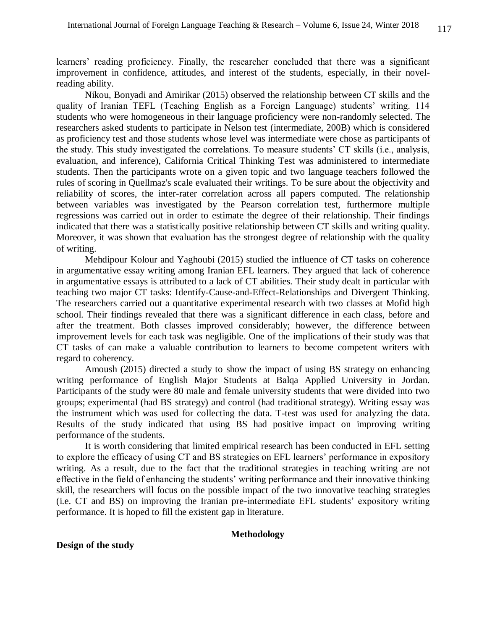learners' reading proficiency. Finally, the researcher concluded that there was a significant improvement in confidence, attitudes, and interest of the students, especially, in their novelreading ability.

Nikou, Bonyadi and Amirikar (2015) observed the relationship between CT skills and the quality of Iranian TEFL (Teaching English as a Foreign Language) students' writing. 114 students who were homogeneous in their language proficiency were non-randomly selected. The researchers asked students to participate in Nelson test (intermediate, 200B) which is considered as proficiency test and those students whose level was intermediate were chose as participants of the study. This study investigated the correlations. To measure students' CT skills (i.e., analysis, evaluation, and inference), California Critical Thinking Test was administered to intermediate students. Then the participants wrote on a given topic and two language teachers followed the rules of scoring in Quellmaz's scale evaluated their writings. To be sure about the objectivity and reliability of scores, the inter-rater correlation across all papers computed. The relationship between variables was investigated by the Pearson correlation test, furthermore multiple regressions was carried out in order to estimate the degree of their relationship. Their findings indicated that there was a statistically positive relationship between CT skills and writing quality. Moreover, it was shown that evaluation has the strongest degree of relationship with the quality of writing.

Mehdipour Kolour and Yaghoubi (2015) studied the influence of CT tasks on coherence in argumentative essay writing among Iranian EFL learners. They argued that lack of coherence in argumentative essays is attributed to a lack of CT abilities. Their study dealt in particular with teaching two major CT tasks: Identify-Cause-and-Effect-Relationships and Divergent Thinking. The researchers carried out a quantitative experimental research with two classes at Mofid high school. Their findings revealed that there was a significant difference in each class, before and after the treatment. Both classes improved considerably; however, the difference between improvement levels for each task was negligible. One of the implications of their study was that CT tasks of can make a valuable contribution to learners to become competent writers with regard to coherency.

Amoush (2015) directed a study to show the impact of using BS strategy on enhancing writing performance of English Major Students at Balqa Applied University in Jordan. Participants of the study were 80 male and female university students that were divided into two groups; experimental (had BS strategy) and control (had traditional strategy). Writing essay was the instrument which was used for collecting the data. T-test was used for analyzing the data. Results of the study indicated that using BS had positive impact on improving writing performance of the students.

It is worth considering that limited empirical research has been conducted in EFL setting to explore the efficacy of using CT and BS strategies on EFL learners' performance in expository writing. As a result, due to the fact that the traditional strategies in teaching writing are not effective in the field of enhancing the students' writing performance and their innovative thinking skill, the researchers will focus on the possible impact of the two innovative teaching strategies (i.e. CT and BS) on improving the Iranian pre-intermediate EFL students' expository writing performance. It is hoped to fill the existent gap in literature.

## **Methodology**

## **Design of the study**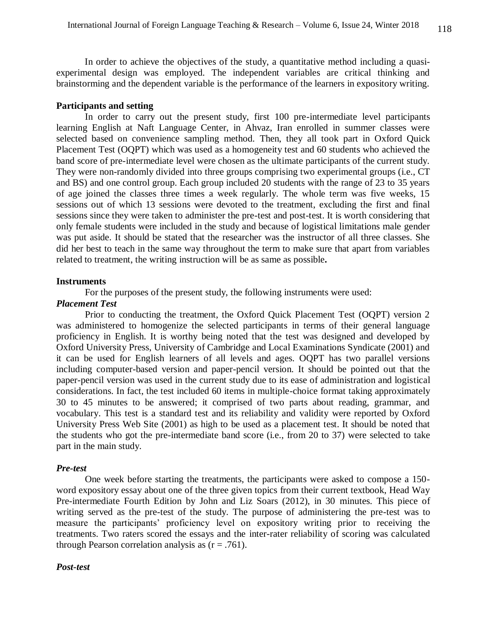In order to achieve the objectives of the study, a quantitative method including a quasiexperimental design was employed. The independent variables are critical thinking and brainstorming and the dependent variable is the performance of the learners in expository writing.

# **Participants and setting**

In order to carry out the present study, first 100 pre-intermediate level participants learning English at Naft Language Center, in Ahvaz, Iran enrolled in summer classes were selected based on convenience sampling method. Then, they all took part in Oxford Quick Placement Test (OQPT) which was used as a homogeneity test and 60 students who achieved the band score of pre-intermediate level were chosen as the ultimate participants of the current study. They were non-randomly divided into three groups comprising two experimental groups (i.e., CT and BS) and one control group. Each group included 20 students with the range of 23 to 35 years of age joined the classes three times a week regularly. The whole term was five weeks, 15 sessions out of which 13 sessions were devoted to the treatment, excluding the first and final sessions since they were taken to administer the pre-test and post-test. It is worth considering that only female students were included in the study and because of logistical limitations male gender was put aside. It should be stated that the researcher was the instructor of all three classes. She did her best to teach in the same way throughout the term to make sure that apart from variables related to treatment, the writing instruction will be as same as possible**.**

## **Instruments**

For the purposes of the present study, the following instruments were used:

# *Placement Test*

Prior to conducting the treatment, the Oxford Quick Placement Test (OQPT) version 2 was administered to homogenize the selected participants in terms of their general language proficiency in English. It is worthy being noted that the test was designed and developed by Oxford University Press, University of Cambridge and Local Examinations Syndicate (2001) and it can be used for English learners of all levels and ages. OQPT has two parallel versions including computer-based version and paper-pencil version. It should be pointed out that the paper-pencil version was used in the current study due to its ease of administration and logistical considerations. In fact, the test included 60 items in multiple-choice format taking approximately 30 to 45 minutes to be answered; it comprised of two parts about reading, grammar, and vocabulary. This test is a standard test and its reliability and validity were reported by Oxford University Press Web Site (2001) as high to be used as a placement test. It should be noted that the students who got the pre-intermediate band score (i.e., from 20 to 37) were selected to take part in the main study.

## *Pre-test*

One week before starting the treatments, the participants were asked to compose a 150 word expository essay about one of the three given topics from their current textbook, Head Way Pre-intermediate Fourth Edition by John and Liz Soars (2012), in 30 minutes. This piece of writing served as the pre-test of the study. The purpose of administering the pre-test was to measure the participants' proficiency level on expository writing prior to receiving the treatments. Two raters scored the essays and the inter-rater reliability of scoring was calculated through [Pearson correlation](https://statistics.laerd.com/statistical-guides/pearson-correlation-coefficient-statistical-guide.php) analysis as  $(r = .761)$ .

#### *Post-test*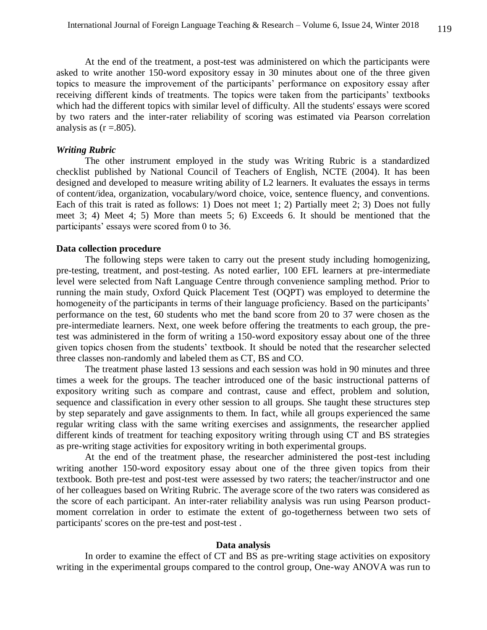At the end of the treatment, a post-test was administered on which the participants were asked to write another 150-word expository essay in 30 minutes about one of the three given topics to measure the improvement of the participants' performance on expository essay after receiving different kinds of treatments. The topics were taken from the participants' textbooks which had the different topics with similar level of difficulty. All the students' essays were scored by two raters and the inter-rater reliability of scoring was estimated via Pearson correlation analysis as  $(r = .805)$ .

## *Writing Rubric*

The other instrument employed in the study was Writing Rubric is a standardized checklist published by National Council of Teachers of English, NCTE (2004). It has been designed and developed to measure writing ability of L2 learners. It evaluates the essays in terms of content/idea, organization, vocabulary/word choice, voice, sentence fluency, and conventions. Each of this trait is rated as follows: 1) Does not meet 1; 2) Partially meet 2; 3) Does not fully meet 3; 4) Meet 4; 5) More than meets 5; 6) Exceeds 6. It should be mentioned that the participants' essays were scored from 0 to 36.

## **Data collection procedure**

The following steps were taken to carry out the present study including homogenizing, pre-testing, treatment, and post-testing. As noted earlier, 100 EFL learners at pre-intermediate level were selected from Naft Language Centre through convenience sampling method. Prior to running the main study, Oxford Quick Placement Test (OQPT) was employed to determine the homogeneity of the participants in terms of their language proficiency. Based on the participants' performance on the test, 60 students who met the band score from 20 to 37 were chosen as the pre-intermediate learners. Next, one week before offering the treatments to each group, the pretest was administered in the form of writing a 150-word expository essay about one of the three given topics chosen from the students' textbook. It should be noted that the researcher selected three classes non-randomly and labeled them as CT, BS and CO.

The treatment phase lasted 13 sessions and each session was hold in 90 minutes and three times a week for the groups. The teacher introduced one of the basic instructional patterns of expository writing such as compare and contrast, cause and effect, problem and solution, sequence and classification in every other session to all groups. She taught these structures step by step separately and gave assignments to them. In fact, while all groups experienced the same regular writing class with the same writing exercises and assignments, the researcher applied different kinds of treatment for teaching expository writing through using CT and BS strategies as pre-writing stage activities for expository writing in both experimental groups.

At the end of the treatment phase, the researcher administered the post-test including writing another 150-word expository essay about one of the three given topics from their textbook. Both pre-test and post-test were assessed by two raters; the teacher/instructor and one of her colleagues based on Writing Rubric. The average score of the two raters was considered as the score of each participant. An inter-rater reliability analysis was run using [Pearson product](https://statistics.laerd.com/statistical-guides/pearson-correlation-coefficient-statistical-guide.php)[moment correlation](https://statistics.laerd.com/statistical-guides/pearson-correlation-coefficient-statistical-guide.php) in order to estimate the extent of go-togetherness between two sets of participants' scores on the pre-test and post-test .

#### **Data analysis**

In order to examine the effect of CT and BS as pre-writing stage activities on expository writing in the experimental groups compared to the control group, One-way ANOVA was run to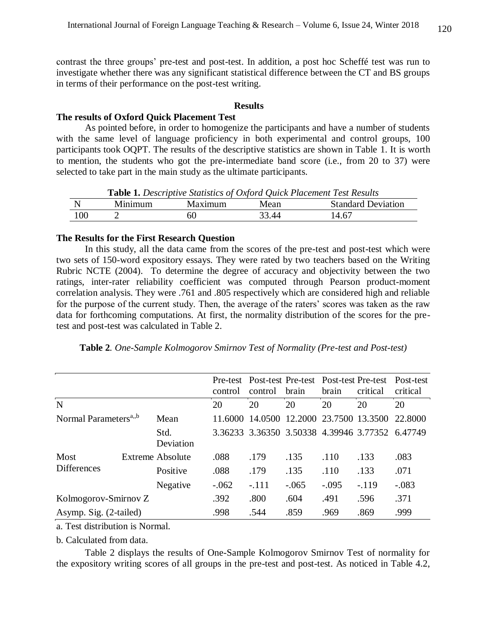contrast the three groups' pre-test and post-test. In addition, a post hoc Scheffé test was run to investigate whether there was any significant statistical difference between the CT and BS groups in terms of their performance on the post-test writing.

# **Results**

#### **The results of Oxford Quick Placement Test**

As pointed before, in order to homogenize the participants and have a number of students with the same level of language proficiency in both experimental and control groups, 100 participants took OQPT. The results of the descriptive statistics are shown in Table 1. It is worth to mention, the students who got the pre-intermediate band score (i.e., from 20 to 37) were selected to take part in the main study as the ultimate participants.

| <b>Table 1.</b> Descriptive Blanshes of Oxford Quick I tacement Test Results |         |         |       |                           |  |  |  |  |  |
|------------------------------------------------------------------------------|---------|---------|-------|---------------------------|--|--|--|--|--|
|                                                                              | Minimum | Maximum | Mean  | <b>Standard Deviation</b> |  |  |  |  |  |
| 100                                                                          |         | 6(      | 33.44 | 14.67                     |  |  |  |  |  |

**Table 1.** *Descriptive Statistics of Oxford Quick Placement Test Results*

### **The Results for the First Research Question**

In this study, all the data came from the scores of the pre-test and post-test which were two sets of 150-word expository essays. They were rated by two teachers based on the Writing Rubric NCTE (2004). To determine the degree of accuracy and objectivity between the two ratings, inter-rater reliability coefficient was computed through [Pearson product-moment](https://statistics.laerd.com/statistical-guides/pearson-correlation-coefficient-statistical-guide.php)  [correlation](https://statistics.laerd.com/statistical-guides/pearson-correlation-coefficient-statistical-guide.php) analysis. They were .761 and .805 respectively which are considered high and reliable for the purpose of the current study. Then, the average of the raters' scores was taken as the raw data for forthcoming computations. At first, the normality distribution of the scores for the pretest and post-test was calculated in Table 2.

|  |  | Table 2. One-Sample Kolmogorov Smirnov Test of Normality (Pre-test and Post-test) |  |  |  |  |  |
|--|--|-----------------------------------------------------------------------------------|--|--|--|--|--|
|--|--|-----------------------------------------------------------------------------------|--|--|--|--|--|

|                                   |  |                   | control | Pre-test Post-test Pre-test Post-test Pre-test<br>control | brain                   | brain   | critical                                        | Post-test<br>critical |
|-----------------------------------|--|-------------------|---------|-----------------------------------------------------------|-------------------------|---------|-------------------------------------------------|-----------------------|
| N                                 |  |                   | 20      | 20                                                        | 20                      | 20      | 20                                              | 20                    |
| Normal Parameters <sup>a,,b</sup> |  | Mean              | 11.6000 | 14.0500                                                   | 12.2000 23.7500 13.3500 |         |                                                 | 22.8000               |
|                                   |  | Std.<br>Deviation |         |                                                           |                         |         | 3.36233 3.36350 3.50338 4.39946 3.77352 6.47749 |                       |
| Most                              |  | Extreme Absolute  | .088    | .179                                                      | .135                    | .110    | .133                                            | .083                  |
| <b>Differences</b>                |  | Positive          | .088    | .179                                                      | .135                    | .110    | .133                                            | .071                  |
|                                   |  | Negative          | $-.062$ | $-.111$                                                   | $-.065$                 | $-.095$ | $-.119$                                         | $-.083$               |
| Kolmogorov-Smirnov Z              |  | .392              | .800    | .604                                                      | .491                    | .596    | .371                                            |                       |
| Asymp. Sig. (2-tailed)            |  |                   | .998    | .544                                                      | .859                    | .969    | .869                                            | .999                  |

a. Test distribution is Normal.

b. Calculated from data.

Table 2 displays the results of One-Sample Kolmogorov Smirnov Test of normality for the expository writing scores of all groups in the pre-test and post-test. As noticed in Table 4.2,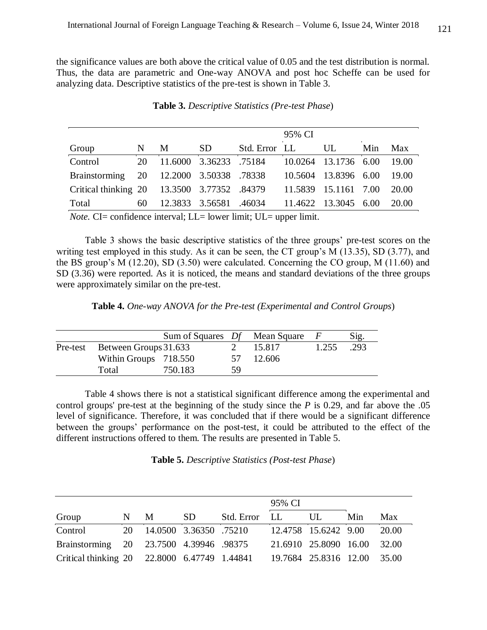the significance values are both above the critical value of 0.05 and the test distribution is normal. Thus, the data are parametric and One-way ANOVA and post hoc Scheffe can be used for analyzing data. Descriptive statistics of the pre-test is shown in Table 3.

|                                                                         |    |   |                        |               | 95% CI  |                      |     |       |
|-------------------------------------------------------------------------|----|---|------------------------|---------------|---------|----------------------|-----|-------|
| Group                                                                   | N  | M | SD.                    | Std. Error LL |         | UL                   | Min | Max   |
| Control                                                                 | 20 |   | 11.6000 3.36233 .75184 |               |         | 10.0264 13.1736 6.00 |     | 19.00 |
| Brainstorming 20 12.2000 3.50338 .78338                                 |    |   |                        |               | 10.5604 | 13.8396 6.00         |     | 19.00 |
| Critical thinking 20 13.3500 3.77352 .84379                             |    |   |                        |               | 11.5839 | 15.1161 7.00         |     | 20.00 |
| Total                                                                   | 60 |   | 12.3833 3.56581 .46034 |               |         | 11.4622 13.3045 6.00 |     | 20.00 |
| <i>Note.</i> CI= confidence interval; LL= lower limit; UL= upper limit. |    |   |                        |               |         |                      |     |       |

**Table 3.** *Descriptive Statistics (Pre-test Phase*)

Table 3 shows the basic descriptive statistics of the three groups' pre-test scores on the writing test employed in this study. As it can be seen, the CT group's M (13.35), SD (3.77), and the BS group's M (12.20), SD (3.50) were calculated. Concerning the CO group, M (11.60) and SD (3.36) were reported. As it is noticed, the means and standard deviations of the three groups were approximately similar on the pre-test.

**Table 4.** *One-way ANOVA for the Pre-test (Experimental and Control Groups*)

|                                | Sum of Squares Df Mean Square |    |        |       | Sig. |
|--------------------------------|-------------------------------|----|--------|-------|------|
| Pre-test Between Groups 31.633 |                               |    | 15.817 | 1.255 | .293 |
| Within Groups 718.550          |                               | 57 | 12.606 |       |      |
| Total                          | 750.183                       | 59 |        |       |      |

Table 4 shows there is not a statistical significant difference among the experimental and control groups' pre-test at the beginning of the study since the *P* is 0.29, and far above the .05 level of significance. Therefore, it was concluded that if there would be a significant difference between the groups' performance on the post-test, it could be attributed to the effect of the different instructions offered to them. The results are presented in Table 5.

**Table 5.** *Descriptive Statistics (Post-test Phase*)

|                                              |     |                           |     |               | 95% CI                      |                             |     |       |
|----------------------------------------------|-----|---------------------------|-----|---------------|-----------------------------|-----------------------------|-----|-------|
| Group                                        | N - | <sup>M</sup>              | SD. | Std. Error LL |                             | UL                          | Min | Max   |
| Control                                      |     | 20 14.0500 3.36350 .75210 |     |               |                             | 12.4758 15.6242 9.00        |     | 20.00 |
| Brainstorming 20 23.7500 4.39946 .98375      |     |                           |     |               |                             | 21.6910 25.8090 16.00 32.00 |     |       |
| Critical thinking 20 22.8000 6.47749 1.44841 |     |                           |     |               | 19.7684 25.8316 12.00 35.00 |                             |     |       |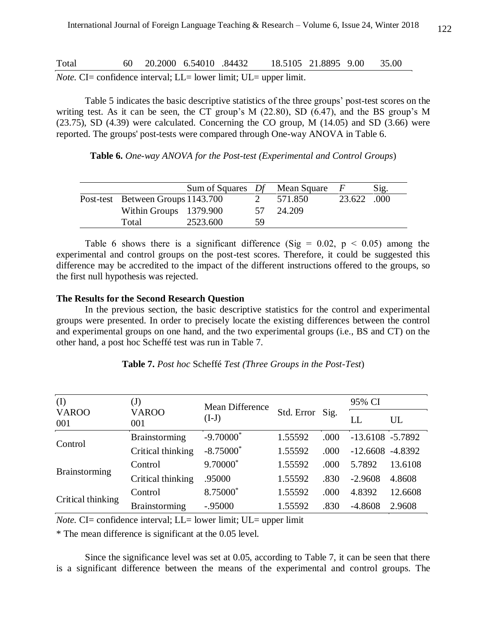| Total | 60 20.2000 6.54010 .84432 |  | 18.5105 21.8895 9.00 35.00                                                                |  |  |
|-------|---------------------------|--|-------------------------------------------------------------------------------------------|--|--|
|       |                           |  | $N_{\alpha\alpha}$ $\Gamma$ = confidence interval: $I =$ lower limit: $I/I =$ upper limit |  |  |

*Note.* CI= confidence interval; LL= lower limit; UL= upper limit.

Table 5 indicates the basic descriptive statistics of the three groups' post-test scores on the writing test. As it can be seen, the CT group's M (22.80), SD (6.47), and the BS group's M  $(23.75)$ , SD  $(4.39)$  were calculated. Concerning the CO group, M  $(14.05)$  and SD  $(3.66)$  were reported. The groups' post-tests were compared through One-way ANOVA in Table 6.

**Table 6.** *One-way ANOVA for the Post-test (Experimental and Control Groups*)

|                                   | Sum of Squares Df Mean Square |    |         |             | Sig. |
|-----------------------------------|-------------------------------|----|---------|-------------|------|
| Post-test Between Groups 1143.700 |                               |    | 571.850 | 23.622 .000 |      |
| Within Groups 1379.900            |                               | 57 | 24.209  |             |      |
| Total                             | 2523.600                      | 59 |         |             |      |

Table 6 shows there is a significant difference (Sig =  $0.02$ , p <  $0.05$ ) among the experimental and control groups on the post-test scores. Therefore, it could be suggested this difference may be accredited to the impact of the different instructions offered to the groups, so the first null hypothesis was rejected.

# **The Results for the Second Research Question**

In the previous section, the basic descriptive statistics for the control and experimental groups were presented. In order to precisely locate the existing differences between the control and experimental groups on one hand, and the two experimental groups (i.e., BS and CT) on the other hand, a post hoc Scheffé test was run in Table 7.

| (I)                 | (J)                  | Mean Difference         |                 |      | 95% CI              |         |
|---------------------|----------------------|-------------------------|-----------------|------|---------------------|---------|
| <b>VAROO</b><br>001 | <b>VAROO</b><br>001  | $(I-J)$                 | Std. Error Sig. |      | LL                  | UL      |
| Control             | <b>Brainstorming</b> | $-9.70000$ <sup>*</sup> | 1.55592         | .000 | $-13.6108 - 5.7892$ |         |
|                     | Critical thinking    | $-8.75000*$             | 1.55592         | .000 | $-12.6608 - 4.8392$ |         |
| Brainstorming       | Control              | 9.70000*                | 1.55592         | .000 | 5.7892              | 13.6108 |
|                     | Critical thinking    | .95000                  | 1.55592         | .830 | $-2.9608$           | 4.8608  |
|                     | Control              | 8.75000*                | 1.55592         | .000 | 4.8392              | 12.6608 |
| Critical thinking   | <b>Brainstorming</b> | $-.95000$               | 1.55592         | .830 | $-4.8608$           | 2.9608  |

**Table 7.** *Post hoc* Scheffé *Test (Three Groups in the Post-Test*)

*Note.* CI= confidence interval; LL= lower limit; UL= upper limit

\* The mean difference is significant at the 0.05 level.

Since the significance level was set at 0.05, according to Table 7, it can be seen that there is a significant difference between the means of the experimental and control groups. The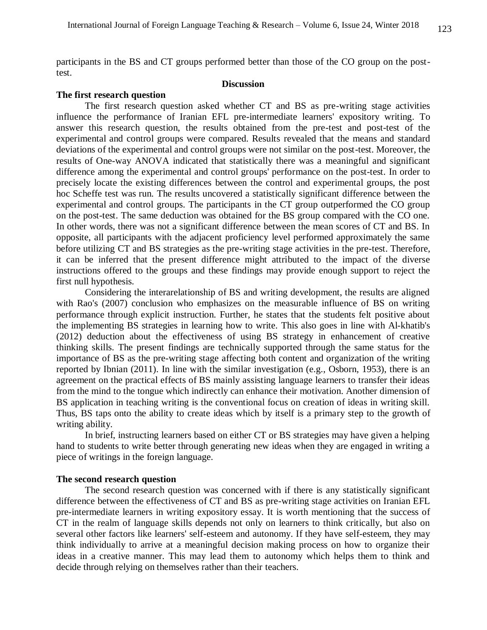participants in the BS and CT groups performed better than those of the CO group on the posttest.

## **Discussion**

#### **The first research question**

The first research question asked whether CT and BS as pre-writing stage activities influence the performance of Iranian EFL pre-intermediate learners' expository writing. To answer this research question, the results obtained from the pre-test and post-test of the experimental and control groups were compared. Results revealed that the means and standard deviations of the experimental and control groups were not similar on the post-test. Moreover, the results of One-way ANOVA indicated that statistically there was a meaningful and significant difference among the experimental and control groups' performance on the post-test. In order to precisely locate the existing differences between the control and experimental groups, the post hoc Scheffe test was run. The results uncovered a statistically significant difference between the experimental and control groups. The participants in the CT group outperformed the CO group on the post-test. The same deduction was obtained for the BS group compared with the CO one. In other words, there was not a significant difference between the mean scores of CT and BS. In opposite, all participants with the adjacent proficiency level performed approximately the same before utilizing CT and BS strategies as the pre-writing stage activities in the pre-test. Therefore, it can be inferred that the present difference might attributed to the impact of the diverse instructions offered to the groups and these findings may provide enough support to reject the first null hypothesis.

Considering the interarelationship of BS and writing development, the results are aligned with Rao's (2007) conclusion who emphasizes on the measurable influence of BS on writing performance through explicit instruction. Further, he states that the students felt positive about the implementing BS strategies in learning how to write. This also goes in line with Al-khatib's (2012) deduction about the effectiveness of using BS strategy in enhancement of creative thinking skills. The present findings are technically supported through the same status for the importance of BS as the pre-writing stage affecting both content and organization of the writing reported by Ibnian (2011). In line with the similar investigation (e.g., Osborn, 1953), there is an agreement on the practical effects of BS mainly assisting language learners to transfer their ideas from the mind to the tongue which indirectly can enhance their motivation. Another dimension of BS application in teaching writing is the conventional focus on creation of ideas in writing skill. Thus, BS taps onto the ability to create ideas which by itself is a primary step to the growth of writing ability.

In brief, instructing learners based on either CT or BS strategies may have given a helping hand to students to write better through generating new ideas when they are engaged in writing a piece of writings in the foreign language.

## **The second research question**

The second research question was concerned with if there is any statistically significant difference between the effectiveness of CT and BS as pre-writing stage activities on Iranian EFL pre-intermediate learners in writing expository essay. It is worth mentioning that the success of CT in the realm of language skills depends not only on learners to think critically, but also on several other factors like learners' self-esteem and autonomy. If they have self-esteem, they may think individually to arrive at a meaningful decision making process on how to organize their ideas in a creative manner. This may lead them to autonomy which helps them to think and decide through relying on themselves rather than their teachers.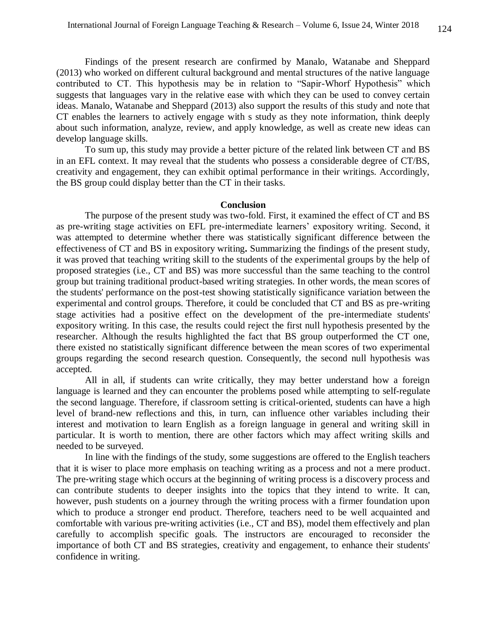Findings of the present research are confirmed by Manalo, Watanabe and Sheppard (2013) who worked on different cultural background and mental structures of the native language contributed to CT. This hypothesis may be in relation to "Sapir-Whorf Hypothesis" which suggests that languages vary in the relative ease with which they can be used to convey certain ideas. Manalo, Watanabe and Sheppard (2013) also support the results of this study and note that CT enables the learners to actively engage with s study as they note information, think deeply about such information, analyze, review, and apply knowledge, as well as create new ideas can develop language skills.

To sum up, this study may provide a better picture of the related link between CT and BS in an EFL context. It may reveal that the students who possess a considerable degree of CT/BS, creativity and engagement, they can exhibit optimal performance in their writings. Accordingly, the BS group could display better than the CT in their tasks.

#### **Conclusion**

The purpose of the present study was two-fold. First, it examined the effect of CT and BS as pre-writing stage activities on EFL pre-intermediate learners' expository writing. Second, it was attempted to determine whether there was statistically significant difference between the effectiveness of CT and BS in expository writing**.** Summarizing the findings of the present study, it was proved that teaching writing skill to the students of the experimental groups by the help of proposed strategies (i.e., CT and BS) was more successful than the same teaching to the control group but training traditional product-based writing strategies. In other words, the mean scores of the students' performance on the post-test showing statistically significance variation between the experimental and control groups. Therefore, it could be concluded that CT and BS as pre-writing stage activities had a positive effect on the development of the pre-intermediate students' expository writing. In this case, the results could reject the first null hypothesis presented by the researcher. Although the results highlighted the fact that BS group outperformed the CT one, there existed no statistically significant difference between the mean scores of two experimental groups regarding the second research question. Consequently, the second null hypothesis was accepted.

All in all, if students can write critically, they may better understand how a foreign language is learned and they can encounter the problems posed while attempting to self-regulate the second language. Therefore, if classroom setting is critical-oriented, students can have a high level of brand-new reflections and this, in turn, can influence other variables including their interest and motivation to learn English as a foreign language in general and writing skill in particular. It is worth to mention, there are other factors which may affect writing skills and needed to be surveyed.

In line with the findings of the study, some suggestions are offered to the English teachers that it is wiser to place more emphasis on teaching writing as a process and not a mere product. The pre-writing stage which occurs at the beginning of writing process is a discovery process and can contribute students to deeper insights into the topics that they intend to write. It can, however, push students on a journey through the writing process with a firmer foundation upon which to produce a stronger end product. Therefore, teachers need to be well acquainted and comfortable with various pre‐writing activities (i.e., CT and BS), model them effectively and plan carefully to accomplish specific goals. The instructors are encouraged to reconsider the importance of both CT and BS strategies, creativity and engagement, to enhance their students' confidence in writing.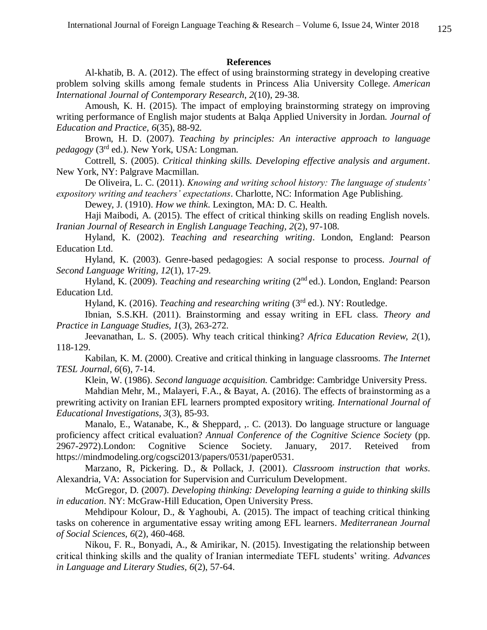## **References**

Al-khatib, B. A. (2012). The effect of using brainstorming strategy in developing creative problem solving skills among female students in Princess Alia University College. *American International Journal of Contemporary Research*, *2*(10), 29-38.

Amoush, K. H. (2015). The impact of employing brainstorming strategy on improving writing performance of English major students at Balqa Applied University in Jordan. *Journal of Education and Practice, 6*(35), 88-92.

Brown, H. D. (2007). *Teaching by principles: An interactive approach to language pedagogy* (3rd ed.). New York, USA: Longman.

Cottrell, S. (2005). *Critical thinking skills. Developing effective analysis and argument*. New York, NY: Palgrave Macmillan.

De Oliveira, L. C. (2011). *Knowing and writing school history: The language of students' expository writing and teachers' expectations*. Charlotte, NC: Information Age Publishing.

Dewey, J. (1910). *How we think*. Lexington, MA: D. C. Health.

Haji Maibodi, A. (2015). The effect of critical thinking skills on reading English novels. *Iranian Journal of Research in English Language Teaching, 2*(2), 97-108.

Hyland, K. (2002). *Teaching and researching writing*. London, England: Pearson Education Ltd.

Hyland, K. (2003). Genre-based pedagogies: A social response to process. *Journal of Second Language Writing, 12*(1), 17-29.

Hyland, K. (2009). *Teaching and researching writing* (2nd ed.). London, England: Pearson Education Ltd.

Hyland, K. (2016). *Teaching and researching writing* (3rd ed.). NY: Routledge.

Ibnian, S.S.KH. (2011). Brainstorming and essay writing in EFL class. *Theory and Practice in Language Studies, 1*(3), 263-272.

Jeevanathan, L. S. (2005). Why teach critical thinking? *Africa Education Review, 2*(1), 118-129.

Kabilan, K. M. (2000). Creative and critical thinking in language classrooms. *The Internet TESL Journal, 6*(6), 7-14.

Klein, W. (1986). *Second language acquisition.* Cambridge: Cambridge University Press.

Mahdian Mehr, M., Malayeri, F.A., & Bayat, A. (2016). The effects of brainstorming as a prewriting activity on Iranian EFL learners prompted expository writing. *International Journal of Educational Investigations, 3*(3), 85-93.

Manalo, E., Watanabe, K., & Sheppard, ,. C. (2013). Do language structure or language proficiency affect critical evaluation? *Annual Conference of the Cognitive Science Society* (pp. 2967-2972).London: Cognitive Science Society. January, 2017. Reteived from [https://mindmodeling.org/cogsci2013/papers/0531/paper0531.](https://mindmodeling.org/cogsci2013/papers/0531/paper0531.pdf)

Marzano, R, Pickering. D., & Pollack, J. (2001). *Classroom instruction that works*. Alexandria, VA: Association for Supervision and Curriculum Development.

McGregor, D. (2007). *Developing thinking: Developing learning a guide to thinking skills in education*. NY: McGraw-Hill Education, Open University Press.

Mehdipour Kolour, D., & Yaghoubi, A. (2015). The impact of teaching critical thinking tasks on coherence in argumentative essay writing among EFL learners. *Mediterranean Journal of Social Sciences, 6*(2), 460-468.

Nikou, F. R., Bonyadi, A., & Amirikar, N. (2015). Investigating the relationship between critical thinking skills and the quality of Iranian intermediate TEFL students' writing. *Advances in Language and Literary Studies, 6*(2), 57-64.